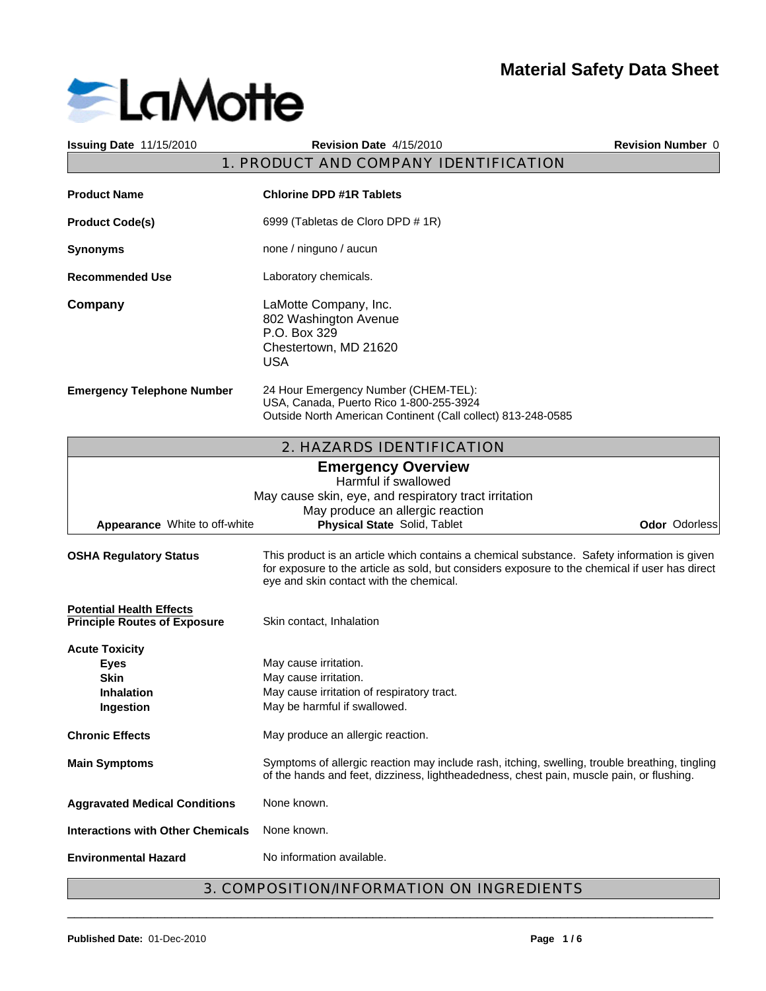

| <b>Issuing Date 11/15/2010</b>                                                        | Revision Date 4/15/2010                                                                                                                                                                                                                  | Revision Number 0 |
|---------------------------------------------------------------------------------------|------------------------------------------------------------------------------------------------------------------------------------------------------------------------------------------------------------------------------------------|-------------------|
|                                                                                       | 1. PRODUCT AND COMPANY IDENTIFICATION                                                                                                                                                                                                    |                   |
| <b>Product Name</b>                                                                   | <b>Chlorine DPD #1R Tablets</b>                                                                                                                                                                                                          |                   |
| <b>Product Code(s)</b>                                                                | 6999 (Tabletas de Cloro DPD # 1R)                                                                                                                                                                                                        |                   |
| <b>Synonyms</b>                                                                       | none / ninguno / aucun                                                                                                                                                                                                                   |                   |
| Recommended Use                                                                       | Laboratory chemicals.                                                                                                                                                                                                                    |                   |
| Company                                                                               | LaMotte Company, Inc.<br>802 Washington Avenue<br>P.O. Box 329<br>Chestertown, MD 21620<br><b>USA</b>                                                                                                                                    |                   |
| <b>Emergency Telephone Number</b>                                                     | 24 Hour Emergency Number (CHEM-TEL):<br>USA, Canada, Puerto Rico 1-800-255-3924<br>Outside North American Continent (Call collect) 813-248-0585                                                                                          |                   |
|                                                                                       | 2. HAZARDS IDENTIFICATION                                                                                                                                                                                                                |                   |
| Appearance White to off-white                                                         | <b>Emergency Overview</b><br>Harmful if swallowed<br>May cause skin, eye, and respiratory tract irritation<br>May produce an allergic reaction<br>Physical State Solid, Tablet                                                           | Odor Odorless     |
| <b>OSHA Regulatory Status</b>                                                         | This product is an article which contains a chemical substance. Safety information is given<br>for exposure to the article as sold, but considers exposure to the chemical if user has direct<br>eye and skin contact with the chemical. |                   |
| <b>Potential Health Effects</b><br><b>Principle Routes of Exposure</b>                | Skin contact, Inhalation                                                                                                                                                                                                                 |                   |
| <b>Acute Toxicity</b><br><b>Eyes</b><br><b>Skin</b><br><b>Inhalation</b><br>Ingestion | May cause irritation.<br>May cause irritation.<br>May cause irritation of respiratory tract.<br>May be harmful if swallowed.                                                                                                             |                   |
| <b>Chronic Effects</b>                                                                | May produce an allergic reaction.                                                                                                                                                                                                        |                   |
| <b>Main Symptoms</b>                                                                  | Symptoms of allergic reaction may include rash, itching, swelling, trouble breathing, tingling<br>of the hands and feet, dizziness, lightheadedness, chest pain, muscle pain, or flushing.                                               |                   |
| <b>Aggravated Medical Conditions</b>                                                  | None known.                                                                                                                                                                                                                              |                   |
| <b>Interactions with Other Chemicals</b>                                              | None known.                                                                                                                                                                                                                              |                   |
| <b>Environmental Hazard</b>                                                           | No information available.                                                                                                                                                                                                                |                   |
|                                                                                       | 3. COMPOSITION/INFORMATION ON INGREDIENTS                                                                                                                                                                                                |                   |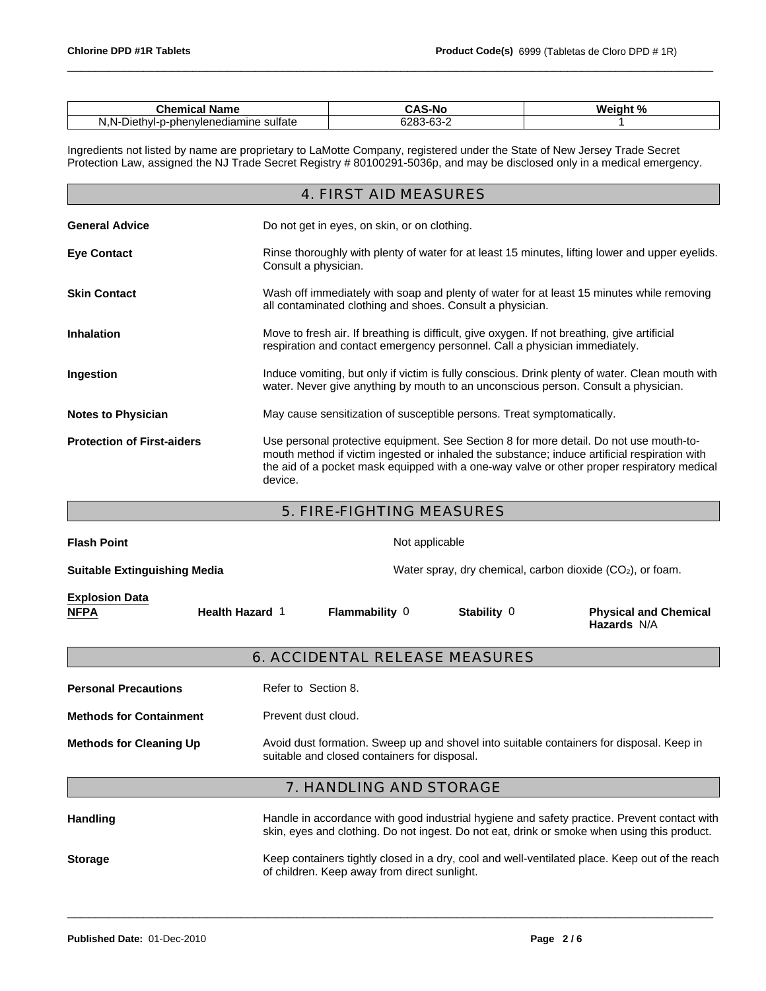| <b>Tham.</b><br>Name<br>emical<br>ື                                  | 5-NG<br>$\sim$                        | Waight % |
|----------------------------------------------------------------------|---------------------------------------|----------|
| vlenediamine sulfate<br>nh,<br>וחמי<br>-ו/ור<br>. .<br>.<br>◡<br>. . | $\sim$<br>$\sim$<br>o∠o.<br>۰.<br>ັບບ |          |

\_\_\_\_\_\_\_\_\_\_\_\_\_\_\_\_\_\_\_\_\_\_\_\_\_\_\_\_\_\_\_\_\_\_\_\_\_\_\_\_\_\_\_\_\_\_\_\_\_\_\_\_\_\_\_\_\_\_\_\_\_\_\_\_\_\_\_\_\_\_\_\_\_\_\_\_\_\_\_\_\_\_\_\_\_\_\_\_\_\_\_\_\_

Ingredients not listed by name are proprietary to LaMotte Company, registered under the State of New Jersey Trade Secret Protection Law, assigned the NJ Trade Secret Registry # 80100291-5036p, and may be disclosed only in a medical emergency.

|                                   | 4. FIRST AID MEASURES                                                                                                                                                                                                                                                                           |
|-----------------------------------|-------------------------------------------------------------------------------------------------------------------------------------------------------------------------------------------------------------------------------------------------------------------------------------------------|
| <b>General Advice</b>             | Do not get in eyes, on skin, or on clothing.                                                                                                                                                                                                                                                    |
| <b>Eye Contact</b>                | Rinse thoroughly with plenty of water for at least 15 minutes, lifting lower and upper eyelids.<br>Consult a physician.                                                                                                                                                                         |
| <b>Skin Contact</b>               | Wash off immediately with soap and plenty of water for at least 15 minutes while removing<br>all contaminated clothing and shoes. Consult a physician.                                                                                                                                          |
| <b>Inhalation</b>                 | Move to fresh air. If breathing is difficult, give oxygen. If not breathing, give artificial<br>respiration and contact emergency personnel. Call a physician immediately.                                                                                                                      |
| Ingestion                         | Induce vomiting, but only if victim is fully conscious. Drink plenty of water. Clean mouth with<br>water. Never give anything by mouth to an unconscious person. Consult a physician.                                                                                                           |
| <b>Notes to Physician</b>         | May cause sensitization of susceptible persons. Treat symptomatically.                                                                                                                                                                                                                          |
| <b>Protection of First-aiders</b> | Use personal protective equipment. See Section 8 for more detail. Do not use mouth-to-<br>mouth method if victim ingested or inhaled the substance; induce artificial respiration with<br>the aid of a pocket mask equipped with a one-way valve or other proper respiratory medical<br>device. |

5. FIRE-FIGHTING MEASURES

| <b>Flash Point</b>                   |                        | Not applicable                                                                                                                                                                             |  |  |  |  |
|--------------------------------------|------------------------|--------------------------------------------------------------------------------------------------------------------------------------------------------------------------------------------|--|--|--|--|
| <b>Suitable Extinguishing Media</b>  |                        | Water spray, dry chemical, carbon dioxide $(CO2)$ , or foam.                                                                                                                               |  |  |  |  |
| <b>Explosion Data</b><br><b>NFPA</b> | <b>Health Hazard 1</b> | <b>Flammability 0</b><br>Stability 0<br><b>Physical and Chemical</b><br>Hazards N/A                                                                                                        |  |  |  |  |
|                                      |                        | 6. ACCIDENTAL RELEASE MEASURES                                                                                                                                                             |  |  |  |  |
| <b>Personal Precautions</b>          |                        | Refer to Section 8.                                                                                                                                                                        |  |  |  |  |
| <b>Methods for Containment</b>       |                        | Prevent dust cloud.                                                                                                                                                                        |  |  |  |  |
| <b>Methods for Cleaning Up</b>       |                        | Avoid dust formation. Sweep up and shovel into suitable containers for disposal. Keep in<br>suitable and closed containers for disposal.                                                   |  |  |  |  |
|                                      |                        | 7. HANDLING AND STORAGE                                                                                                                                                                    |  |  |  |  |
| <b>Handling</b>                      |                        | Handle in accordance with good industrial hygiene and safety practice. Prevent contact with<br>skin, eyes and clothing. Do not ingest. Do not eat, drink or smoke when using this product. |  |  |  |  |
| <b>Storage</b>                       |                        | Keep containers tightly closed in a dry, cool and well-ventilated place. Keep out of the reach<br>of children. Keep away from direct sunlight.                                             |  |  |  |  |
|                                      |                        |                                                                                                                                                                                            |  |  |  |  |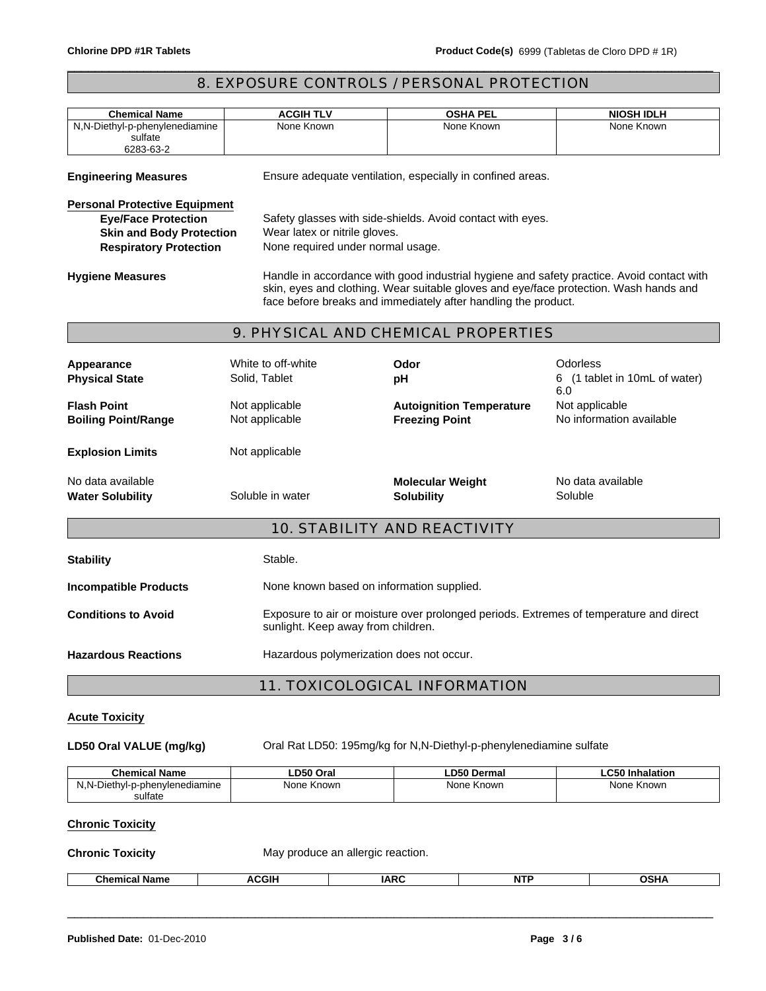# 8. EXPOSURE CONTROLS / PERSONAL PROTECTION

\_\_\_\_\_\_\_\_\_\_\_\_\_\_\_\_\_\_\_\_\_\_\_\_\_\_\_\_\_\_\_\_\_\_\_\_\_\_\_\_\_\_\_\_\_\_\_\_\_\_\_\_\_\_\_\_\_\_\_\_\_\_\_\_\_\_\_\_\_\_\_\_\_\_\_\_\_\_\_\_\_\_\_\_\_\_\_\_\_\_\_\_\_

| <b>Chemical Name</b>                                   | <b>ACGIH TLV</b>                                                                                                             | <b>OSHA PEL</b>                                                                                                                                                                                                                                      | <b>NIOSH IDLH</b>                          |  |  |
|--------------------------------------------------------|------------------------------------------------------------------------------------------------------------------------------|------------------------------------------------------------------------------------------------------------------------------------------------------------------------------------------------------------------------------------------------------|--------------------------------------------|--|--|
| N,N-Diethyl-p-phenylenediamine<br>sulfate<br>6283-63-2 | None Known                                                                                                                   | None Known                                                                                                                                                                                                                                           | None Known                                 |  |  |
| <b>Engineering Measures</b>                            |                                                                                                                              | Ensure adequate ventilation, especially in confined areas.                                                                                                                                                                                           |                                            |  |  |
| <b>Personal Protective Equipment</b>                   |                                                                                                                              |                                                                                                                                                                                                                                                      |                                            |  |  |
| <b>Eye/Face Protection</b>                             |                                                                                                                              | Safety glasses with side-shields. Avoid contact with eyes.                                                                                                                                                                                           |                                            |  |  |
| <b>Skin and Body Protection</b>                        | Wear latex or nitrile gloves.                                                                                                |                                                                                                                                                                                                                                                      |                                            |  |  |
| <b>Respiratory Protection</b>                          | None required under normal usage.                                                                                            |                                                                                                                                                                                                                                                      |                                            |  |  |
| <b>Hygiene Measures</b>                                |                                                                                                                              | Handle in accordance with good industrial hygiene and safety practice. Avoid contact with<br>skin, eyes and clothing. Wear suitable gloves and eye/face protection. Wash hands and<br>face before breaks and immediately after handling the product. |                                            |  |  |
|                                                        |                                                                                                                              | 9. PHYSICAL AND CHEMICAL PROPERTIES                                                                                                                                                                                                                  |                                            |  |  |
| Appearance                                             | White to off-white                                                                                                           | Odor                                                                                                                                                                                                                                                 | Odorless                                   |  |  |
| <b>Physical State</b>                                  | Solid, Tablet                                                                                                                | pH                                                                                                                                                                                                                                                   | 6 (1 tablet in 10mL of water)              |  |  |
|                                                        |                                                                                                                              |                                                                                                                                                                                                                                                      | 6.0                                        |  |  |
| <b>Flash Point</b><br><b>Boiling Point/Range</b>       | Not applicable<br>Not applicable                                                                                             | <b>Autoignition Temperature</b><br><b>Freezing Point</b>                                                                                                                                                                                             | Not applicable<br>No information available |  |  |
| <b>Explosion Limits</b>                                | Not applicable                                                                                                               |                                                                                                                                                                                                                                                      |                                            |  |  |
| No data available<br><b>Water Solubility</b>           | Soluble in water                                                                                                             | <b>Molecular Weight</b><br><b>Solubility</b>                                                                                                                                                                                                         | No data available<br>Soluble               |  |  |
|                                                        |                                                                                                                              | 10. STABILITY AND REACTIVITY                                                                                                                                                                                                                         |                                            |  |  |
| <b>Stability</b>                                       | Stable.                                                                                                                      |                                                                                                                                                                                                                                                      |                                            |  |  |
| <b>Incompatible Products</b>                           | None known based on information supplied.                                                                                    |                                                                                                                                                                                                                                                      |                                            |  |  |
| <b>Conditions to Avoid</b>                             | Exposure to air or moisture over prolonged periods. Extremes of temperature and direct<br>sunlight. Keep away from children. |                                                                                                                                                                                                                                                      |                                            |  |  |
| <b>Hazardous Reactions</b>                             |                                                                                                                              | Hazardous polymerization does not occur.                                                                                                                                                                                                             |                                            |  |  |
|                                                        |                                                                                                                              |                                                                                                                                                                                                                                                      |                                            |  |  |

# **Acute Toxicity**

LD50 Oral VALUE (mg/kg) Oral Rat LD50: 195mg/kg for N,N-Diethyl-p-phenylenediamine sulfate

\_\_\_\_\_\_\_\_\_\_\_\_\_\_\_\_\_\_\_\_\_\_\_\_\_\_\_\_\_\_\_\_\_\_\_\_\_\_\_\_\_\_\_\_\_\_\_\_\_\_\_\_\_\_\_\_\_\_\_\_\_\_\_\_\_\_\_\_\_\_\_\_\_\_\_\_\_\_\_\_\_\_\_\_\_\_\_\_\_\_\_\_\_

| <b>Chemical Name</b>                                         | LD50 Oral  | <b>LD50 Dermal</b> | $\mathbf{A}$<br>Inhalation |
|--------------------------------------------------------------|------------|--------------------|----------------------------|
| N <sub>N</sub><br>ivl-p-phenvlenediamine<br>،۱۱ath۱۰<br>7. I | None Known | None Known         | None Known                 |
| sulfate                                                      |            |                    |                            |

## **Chronic Toxicity**

| <b>Chronic Toxicity</b> | May produce an allergic reaction. |
|-------------------------|-----------------------------------|
|-------------------------|-----------------------------------|

| <b>COU</b><br>-<br>hemical -<br>^<br><b>Name</b><br>чаны. | <br>IAD' | ∽мг<br>. |  |
|-----------------------------------------------------------|----------|----------|--|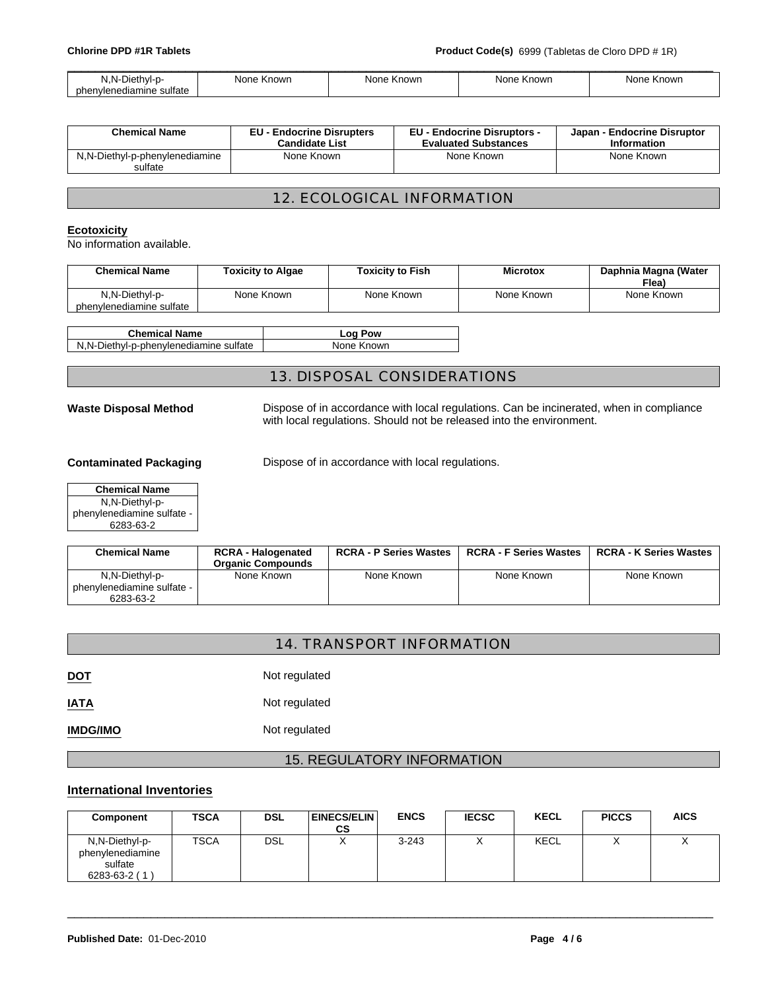| 1 N.<br>``liethvl-p-<br>◡<br>м.                              | None<br><b>Known</b> | None Known | ∙ Known<br>None | None<br>Known |
|--------------------------------------------------------------|----------------------|------------|-----------------|---------------|
| $\ddot{\phantom{0}}$<br>sulfate<br>phenvlenediamine :<br>___ |                      |            |                 |               |

| <b>Chemical Name</b>                      | <b>EU - Endocrine Disrupters</b> | <b>EU - Endocrine Disruptors -</b> | Japan - Endocrine Disruptor |
|-------------------------------------------|----------------------------------|------------------------------------|-----------------------------|
|                                           | <b>Candidate List</b>            | <b>Evaluated Substances</b>        | <b>Information</b>          |
| N,N-Diethyl-p-phenylenediamine<br>sulfate | None Known                       | None Known                         | None Known                  |

# 12. ECOLOGICAL INFORMATION

### **Ecotoxicity**

No information available.

| <b>Chemical Name</b>                       | <b>Toxicity to Algae</b> | <b>Toxicity to Fish</b> | <b>Microtox</b> | Daphnia Magna (Water<br>Flea) |
|--------------------------------------------|--------------------------|-------------------------|-----------------|-------------------------------|
| N,N-Diethyl-p-<br>phenylenediamine sulfate | None Known               | None Known              | None Known      | None Known                    |
|                                            |                          |                         |                 |                               |

| <b>Chemical Name</b>                    | Log Pow   |
|-----------------------------------------|-----------|
| N, N-Diethyl-p-phenylenediamine sulfate | None Know |

None Known

# 13. DISPOSAL CONSIDERATIONS

**Waste Disposal Method** Dispose of in accordance with local regulations. Can be incinerated, when in compliance with local regulations. Should not be released into the environment.

**Contaminated Packaging Dispose of in accordance with local regulations.** 

| N,N-Diethyl-p-<br>phenylenediamine sulfate - |
|----------------------------------------------|
|                                              |
|                                              |
| 6283-63-2                                    |

| <b>Chemical Name</b>         | <b>RCRA - Halogenated</b> | <b>RCRA - P Series Wastes</b> | <b>RCRA - F Series Wastes</b> | <b>RCRA - K Series Wastes</b> |
|------------------------------|---------------------------|-------------------------------|-------------------------------|-------------------------------|
|                              | <b>Organic Compounds</b>  |                               |                               |                               |
| N,N-Diethyl-p-               | None Known                | None Known                    | None Known                    | None Known                    |
| phenylenediamine sulfate - I |                           |                               |                               |                               |
| 6283-63-2                    |                           |                               |                               |                               |

| 14. TRANSPORT INFORMATION |  |
|---------------------------|--|
|---------------------------|--|

| $\underline{\mathsf{NOT}}$ | Not regulated |
|----------------------------|---------------|
| <b>IATA</b>                | Not regulated |
| <b>IMDG/IMO</b>            | Not regulated |

# 15. REGULATORY INFORMATION

#### **International Inventories**

| Component                                                           | <b>TSCA</b> | DSL | <b>EINECS/ELIN</b><br>CS | <b>ENCS</b> | <b>IECSC</b> | <b>KECL</b> | <b>PICCS</b> | AICS |
|---------------------------------------------------------------------|-------------|-----|--------------------------|-------------|--------------|-------------|--------------|------|
| N,N-Diethyl-p-<br>phenylenediamine<br>sulfate<br>$6283 - 63 - 2(1)$ | <b>TSCA</b> | DSL |                          | $3 - 243$   |              | <b>KECL</b> |              |      |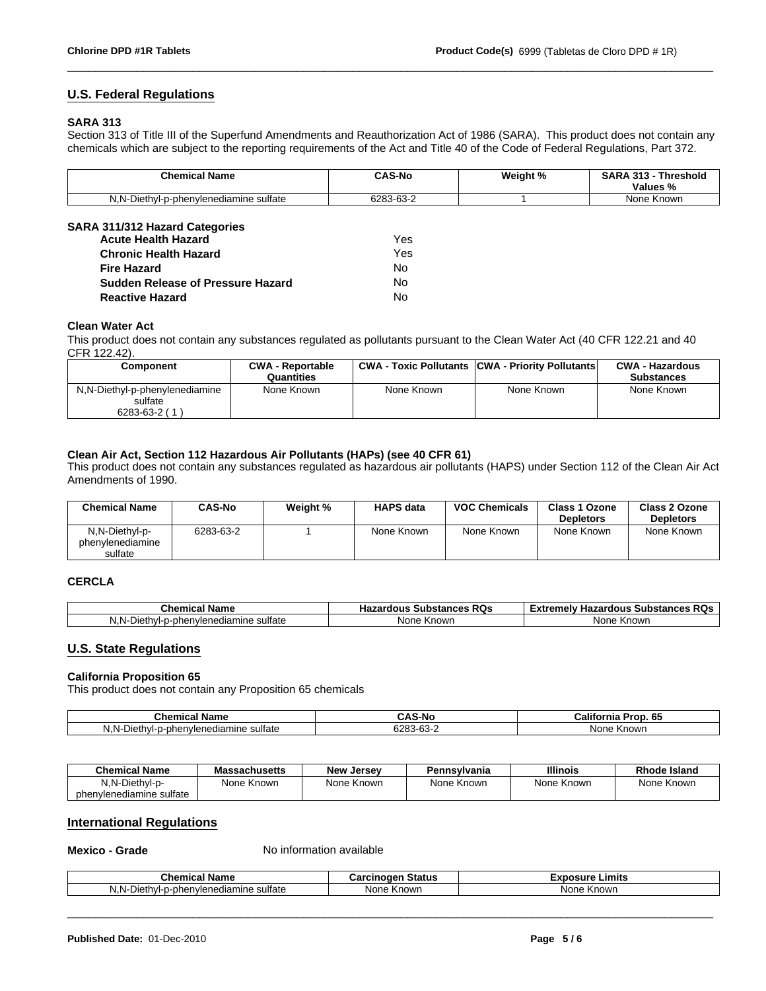## **U.S. Federal Regulations**

#### **SARA 313**

Section 313 of Title III of the Superfund Amendments and Reauthorization Act of 1986 (SARA). This product does not contain any chemicals which are subject to the reporting requirements of the Act and Title 40 of the Code of Federal Regulations, Part 372.

\_\_\_\_\_\_\_\_\_\_\_\_\_\_\_\_\_\_\_\_\_\_\_\_\_\_\_\_\_\_\_\_\_\_\_\_\_\_\_\_\_\_\_\_\_\_\_\_\_\_\_\_\_\_\_\_\_\_\_\_\_\_\_\_\_\_\_\_\_\_\_\_\_\_\_\_\_\_\_\_\_\_\_\_\_\_\_\_\_\_\_\_\_

| <b>Chemical Name</b>                                                                         | <b>CAS-No</b>       | Weight % | <b>SARA</b><br>- 242<br>Threshold<br>-3<br>. .<br>$\mathbf{a}$<br>Values % |
|----------------------------------------------------------------------------------------------|---------------------|----------|----------------------------------------------------------------------------|
| $\cdot$<br>$\overline{\phantom{0}}$<br>N.N-<br>⊃iethvl-<br>p-phenvlenediamine sulfate<br>. . | $\sim$<br>6283-63-∠ |          | None<br>≅Knowr.                                                            |

### **SARA 311/312 Hazard Categories**

| <b>Acute Health Hazard</b>        | Yes |  |
|-----------------------------------|-----|--|
| <b>Chronic Health Hazard</b>      | Yes |  |
| <b>Fire Hazard</b>                | No. |  |
| Sudden Release of Pressure Hazard | No. |  |
| <b>Reactive Hazard</b>            | N٥  |  |

#### **Clean Water Act**

This product does not contain any substances regulated as pollutants pursuant to the Clean Water Act (40 CFR 122.21 and 40 CFR 122.42).

| Component                                                 | <b>CWA - Reportable</b> |            | <b>CWA - Toxic Pollutants CWA - Priority Pollutants</b> | <b>CWA - Hazardous</b> |
|-----------------------------------------------------------|-------------------------|------------|---------------------------------------------------------|------------------------|
|                                                           | Quantities              |            |                                                         | <b>Substances</b>      |
| N,N-Diethyl-p-phenylenediamine<br>sulfate<br>6283-63-2 (1 | None Known              | None Known | None Known                                              | None Known             |

#### **Clean Air Act, Section 112 Hazardous Air Pollutants (HAPs) (see 40 CFR 61)**

This product does not contain any substances regulated as hazardous air pollutants (HAPS) under Section 112 of the Clean Air Act Amendments of 1990.

| <b>Chemical Name</b>                          | <b>CAS-No</b> | Weight % | <b>HAPS data</b> | <b>VOC Chemicals</b> | <b>Class 1 Ozone</b><br><b>Depletors</b> | Class 2 Ozone<br><b>Depletors</b> |
|-----------------------------------------------|---------------|----------|------------------|----------------------|------------------------------------------|-----------------------------------|
| N,N-Diethyl-p-<br>phenylenediamine<br>sulfate | 6283-63-2     |          | None Known       | None Known           | None Known                               | None Known                        |

### **CERCLA**

| Nam∈<br>emical<br>⊶ne:                                                                   | <b>RQ</b> f<br><b>Substances</b> | пn.<br>amely :<br><b>Hazardous</b><br>. Substances RQs<br>- 300 |  |
|------------------------------------------------------------------------------------------|----------------------------------|-----------------------------------------------------------------|--|
| sultate<br>nodiom<br>$\sim$<br>в.<br>…nner …<br>-ו/חזב<br>VIt.<br>чаь.<br>טסוי<br>''<br> | nown<br>None<br>'N.              | Knowr.<br><b>Non</b>                                            |  |

## **U.S. State Regulations**

#### **California Proposition 65**

This product does not contain any Proposition 65 chemicals

| чни<br>anne                                                             | איי.                     | Califo<br>ю.<br>ша       |
|-------------------------------------------------------------------------|--------------------------|--------------------------|
| $\cdot$<br>N.N<br>sultate<br>. הורי<br>aviene∩i:<br>эT<br>ΠF<br>. .<br> | $\sim$<br>0.00<br>ື<br>_ | Nor<br><b>inowr</b><br>n |

| <b>Chemical Name</b>     | <b>Massachusetts</b> | <b>New Jersey</b> | Pennsvlvania | <b>Illinois</b> | <b>Rhode Island</b> |
|--------------------------|----------------------|-------------------|--------------|-----------------|---------------------|
| N.N-Diethyl-p-           | None Known           | None Known        | None Known   | None Known      | None Known          |
| phenvlenediamine sulfate |                      |                   |              |                 |                     |

### **International Regulations**

**Mexico - Grade** No information available

| Chemic<br>name                                                                               | <b>Status</b><br>.<br>cinoaei<br>⊍d | Limits<br><b>Exposure</b> |
|----------------------------------------------------------------------------------------------|-------------------------------------|---------------------------|
| $\sim$<br>sultate<br><b>Dieth</b><br>N<br>-ו/ור<br>∠ienediamine ∩<br>-pher<br>יוער<br>.<br>. | Known<br>None                       | : Known<br><b>Nonc</b>    |